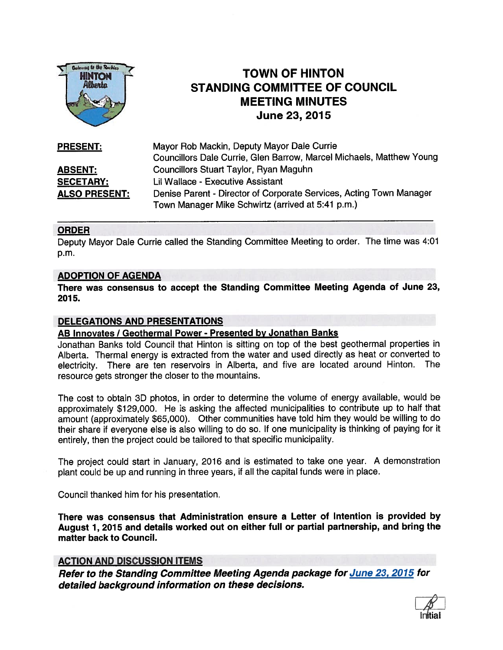

# TOWN OF HINTON STANDING COMMITTEE OF COUNCIL MEETING MINUTES June 23, 2015

| <b>PRESENT:</b>      | Mayor Rob Mackin, Deputy Mayor Dale Currie                           |
|----------------------|----------------------------------------------------------------------|
|                      | Councillors Dale Currie, Glen Barrow, Marcel Michaels, Matthew Young |
| <b>ABSENT:</b>       | Councillors Stuart Taylor, Ryan Maguhn                               |
| <b>SECETARY:</b>     | <b>Lil Wallace - Executive Assistant</b>                             |
| <b>ALSO PRESENT:</b> | Denise Parent - Director of Corporate Services, Acting Town Manager  |
|                      | Town Manager Mike Schwirtz (arrived at 5:41 p.m.)                    |

#### ORDER

Deputy Mayor Dale Currie called the Standing Committee Meeting to order. The time was 4:01 p.m.

#### ADOPTION OF AGENDA

There was consensus to accep<sup>t</sup> the Standing Committee Meeting Agenda of June 23, 2015.

## DELEGATIONS AND PRESENTATIONS

## AB Innovates / Geothermal Power - Presented by Jonathan Banks

Jonathan Banks told Council that Hinton is sitting on top of the best geothermal properties in Alberta. Thermal energy is extracted from the water and used directly as heat or converted to electricity. There are ten reservoirs in Alberta, and five are located around Hinton. The resource gets stronger the closer to the mountains.

The cost to obtain 3D <sup>p</sup>hotos, in order to determine the volume of energy available, would be approximately \$129,000. He is asking the affected municipalities to contribute up to half that amount (approximately \$65,000). Other communities have told him they would be willing to do their share if everyone else is also willing to do so. If one municipality is thinking ot paying for it entirely, then the project could be tailored to that specific municipality.

The project could start in January, <sup>2016</sup> and is estimated to take one year. <sup>A</sup> demonstration <sup>p</sup>lant could be up and running in three years, if all the capital funds were in <sup>p</sup>lace.

Council thanked him for his presentation.

There was consensus that Administration ensure <sup>a</sup> Letter of Intention is provided by August 1, 2015 and details worked out on either full or partial partnership, and bring the matter back to Council.

## ACTION AND DISCUSSION ITEMS

Refer to the Standing Committee Meeting Agenda package for June 23, <sup>2075</sup> for detailed background information on these decisions.

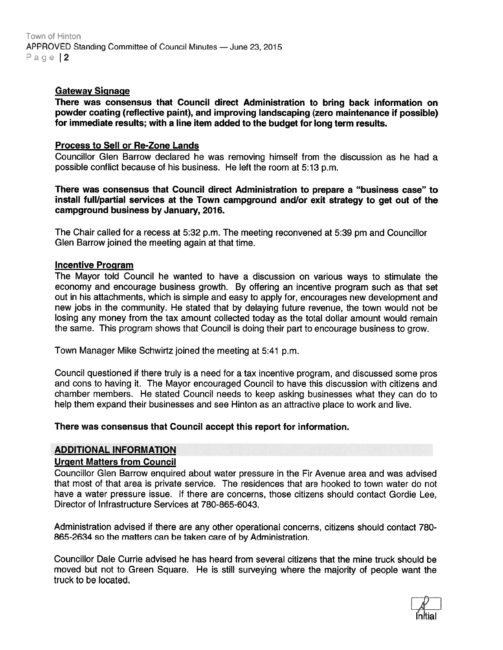## Gateway Signage

There was consensus that Council direct Administration to bring back information on powder coating (reflective paint), and improving landscaping (zero maintenance if possible) for immediate results; with <sup>a</sup> line item added to the budget for long term results.

## Process to Sell or Re-Zone Lands

Councillor Glen Barrow declared he was removing himself from the discussion as he had <sup>a</sup> possible conflict because of his business. He left the room at 5:13 p.m.

There was consensus that Council direct Administration to prepare <sup>a</sup> "business case" to install full/partial services at the Town campground and/or exit strategy to ge<sup>t</sup> out of the campground business by January, 2076.

The Chair called for <sup>a</sup> recess at 5:32 p.m. The meeting reconvened at 5:39 pm and Councillor Glen Barrow joined the meeting again at that time.

#### Incentive Program

The Mayor told Council he wanted to have <sup>a</sup> discussion on various ways to stimulate the economy and encourage business growth. By offering an incentive program such as that set out in his attachments, which is simple and easy to apply for, encourages new development and new jobs in the community. He stated that by delaying future revenue, the town would not be losing any money from the tax amount collected today as the total dollar amount would remain the same. This program shows that Council is doing their par<sup>t</sup> to encourage business to grow.

Town Manager Mike Schwirtz joined the meeting at 5:41 p.m.

Council questioned if there truly is <sup>a</sup> need for <sup>a</sup> tax incentive program, and discussed some pros and cons to having it. The Mayor encouraged Council to have this discussion with citizens and chamber members. He stated Council needs to keep asking businesses what they can do to help them expand their businesses and see Hinton as an attractive place to work and live.

#### There was consensus that Council accep<sup>t</sup> this repor<sup>t</sup> for information.

#### ADDITIONAL INFORMATION

#### Urgent Matters from Council

Councillor Glen Barrow enquired about water pressure in the Fir Avenue area and was advised that most of that area is private service. The residences that are hooked to town water do not have <sup>a</sup> water pressure issue. If there are concerns, those citizens should contact Gordie Lee, Director of Infrastructure Services at 780-865-6043.

Administration advised if there are any other operational concerns, citizens should contact 780- 865-2634 so the matters can be taken care of by Administration.

Councillor Dale Currie advised he has heard from several citizens that the mine truck should be moved but not to Green Square. He is still surveying where the majority of people want the truck to be located.